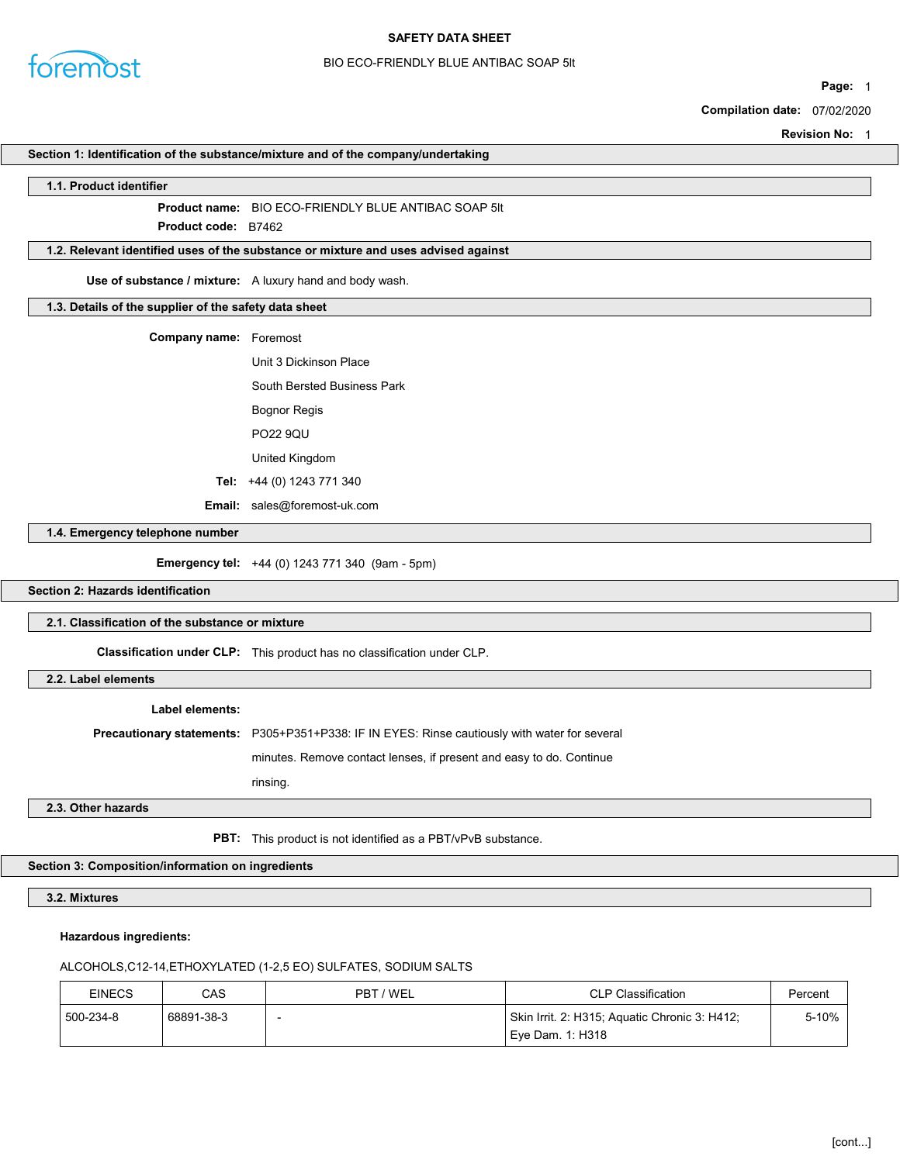

## BIO ECO-FRIENDLY BLUE ANTIBAC SOAP 5lt

Page: 1

Compilation date: 07/02/2020

Revision No: 1

#### Section 1: Identification of the substance/mixture and of the company/undertaking

#### 1.1. Product identifier

Product name: BIO ECO-FRIENDLY BLUE ANTIBAC SOAP 5lt

Product **code**: B7462

# 1.2. Relevant identified uses of the substance or mixture and uses advised against

Use of substance / mixture: A luxury hand and body wash.

### 1.3. Details of the supplier of the safety data sheet

| <b>Company name:</b> Foremost |                                     |  |
|-------------------------------|-------------------------------------|--|
|                               | Unit 3 Dickinson Place              |  |
|                               | <b>South Bersted Business Park</b>  |  |
|                               | <b>Bognor Regis</b>                 |  |
|                               | <b>PO22 9QU</b>                     |  |
|                               | United Kingdom                      |  |
|                               | Tel: $+44$ (0) 1243 771 340         |  |
|                               | <b>Email:</b> sales@foremost-uk.com |  |

1.4. Emergency telephone number

Emergency tel: +44 (0) 1243 771 340 (9am - 5pm)

Section 2: Hazards identification

# 2.1. Classification of the substance or mixture

Classification under CLP: This product has no classification under CLP.

2.2. Label elements

#### Label elements:

Precautionary statements: P305+P351+P338: IF IN EYES: Rinse cautiously with water for several

minutes. Remove contact lenses, if present and easy to do. Continue

rinsing.

### 2.3. Other hazards

PBT: This product is not identified as a PBT/vPvB substance.

# Section 3: Composition/information on ingredients

3.2. Mixtures

## Hazardous ingredients:

# ALCOHOLS,C12-14,ETHOXYLATED (1-2,5 EO) SULFATES, SODIUM SALTS

| <b>EINECS</b> | CAS        | PBT / WEL | <b>CLP Classification</b>                     | Percent |
|---------------|------------|-----------|-----------------------------------------------|---------|
| 500-234-8     | 68891-38-3 |           | Skin Irrit. 2: H315; Aquatic Chronic 3: H412; | $5-10%$ |
|               |            |           | Eve Dam. 1: H318                              |         |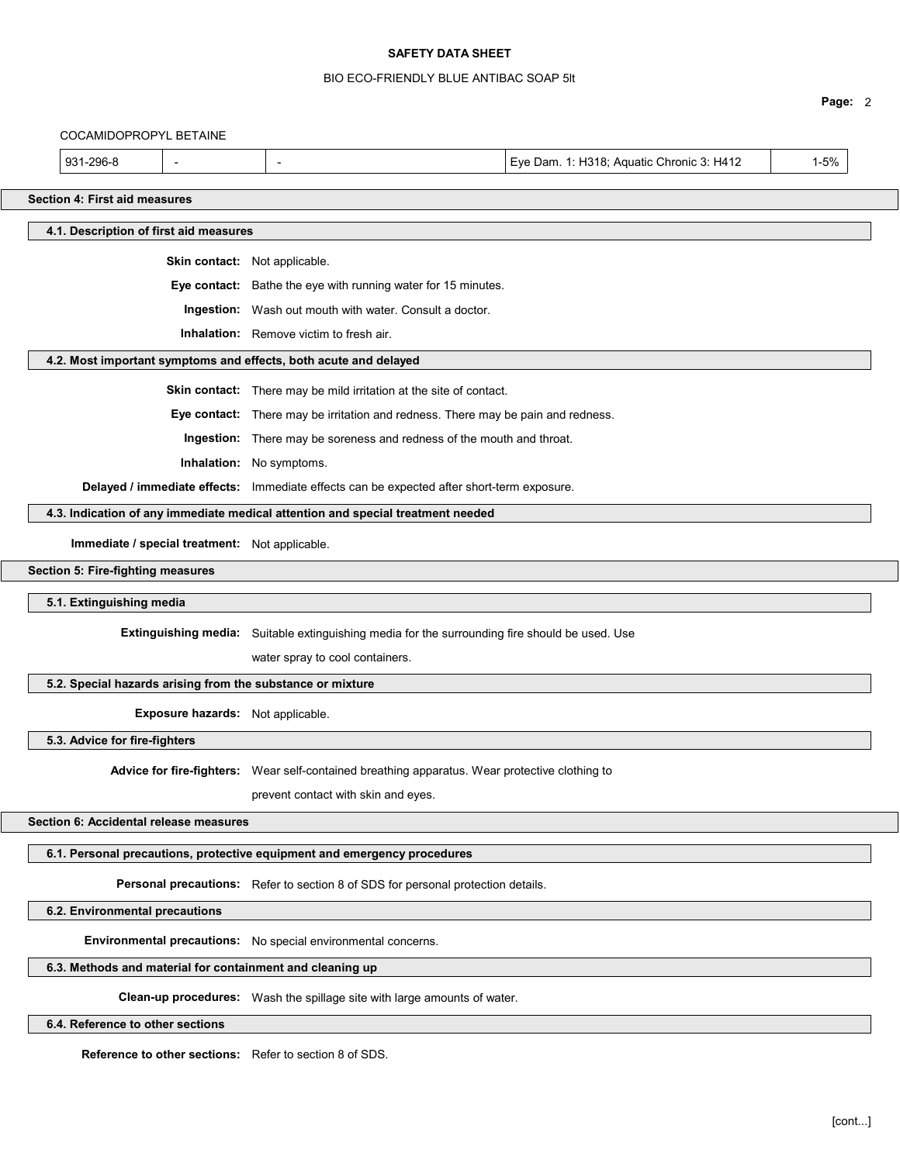# BIO ECO-FRIENDLY BLUE ANTIBAC SOAP 5lt

|                                      |                                                                          |                                                                                                |                                           | Page: 2  |
|--------------------------------------|--------------------------------------------------------------------------|------------------------------------------------------------------------------------------------|-------------------------------------------|----------|
| COCAMIDOPROPYL BETAINE               |                                                                          |                                                                                                |                                           |          |
| 931-296-8                            |                                                                          |                                                                                                | Eye Dam. 1: H318; Aquatic Chronic 3: H412 | $1 - 5%$ |
| <b>Section 4: First aid measures</b> |                                                                          |                                                                                                |                                           |          |
|                                      | 4.1. Description of first aid measures                                   |                                                                                                |                                           |          |
|                                      |                                                                          |                                                                                                |                                           |          |
|                                      |                                                                          | Skin contact: Not applicable.                                                                  |                                           |          |
|                                      |                                                                          | Eye contact: Bathe the eye with running water for 15 minutes.                                  |                                           |          |
|                                      |                                                                          | <b>Ingestion:</b> Wash out mouth with water. Consult a doctor.                                 |                                           |          |
|                                      |                                                                          | <b>Inhalation:</b> Remove victim to fresh air.                                                 |                                           |          |
|                                      |                                                                          | 4.2. Most important symptoms and effects, both acute and delayed                               |                                           |          |
|                                      |                                                                          | Skin contact: There may be mild irritation at the site of contact.                             |                                           |          |
|                                      |                                                                          | Eye contact: There may be irritation and redness. There may be pain and redness.               |                                           |          |
|                                      |                                                                          | Ingestion: There may be soreness and redness of the mouth and throat.                          |                                           |          |
|                                      |                                                                          | Inhalation: No symptoms.                                                                       |                                           |          |
|                                      |                                                                          | Delayed / immediate effects: Immediate effects can be expected after short-term exposure.      |                                           |          |
|                                      |                                                                          | 4.3. Indication of any immediate medical attention and special treatment needed                |                                           |          |
|                                      | Immediate / special treatment: Not applicable.                           |                                                                                                |                                           |          |
| Section 5: Fire-fighting measures    |                                                                          |                                                                                                |                                           |          |
| 5.1. Extinguishing media             |                                                                          |                                                                                                |                                           |          |
|                                      |                                                                          | Extinguishing media: Suitable extinguishing media for the surrounding fire should be used. Use |                                           |          |
|                                      |                                                                          | water spray to cool containers.                                                                |                                           |          |
|                                      |                                                                          | 5.2. Special hazards arising from the substance or mixture                                     |                                           |          |
|                                      | Exposure hazards: Not applicable.                                        |                                                                                                |                                           |          |
| 5.3. Advice for fire-fighters        |                                                                          |                                                                                                |                                           |          |
|                                      |                                                                          | Advice for fire-fighters: Wear self-contained breathing apparatus. Wear protective clothing to |                                           |          |
|                                      |                                                                          | prevent contact with skin and eyes.                                                            |                                           |          |
|                                      | Section 6: Accidental release measures                                   |                                                                                                |                                           |          |
|                                      |                                                                          | 6.1. Personal precautions, protective equipment and emergency procedures                       |                                           |          |
|                                      |                                                                          | Personal precautions: Refer to section 8 of SDS for personal protection details.               |                                           |          |
| 6.2. Environmental precautions       |                                                                          |                                                                                                |                                           |          |
|                                      |                                                                          | Environmental precautions: No special environmental concerns.                                  |                                           |          |
|                                      |                                                                          | 6.3. Methods and material for containment and cleaning up                                      |                                           |          |
|                                      | Clean-up procedures: Wash the spillage site with large amounts of water. |                                                                                                |                                           |          |
| 6.4. Reference to other sections     |                                                                          |                                                                                                |                                           |          |
|                                      |                                                                          |                                                                                                |                                           |          |

Reference to other sections: Refer to section 8 of SDS.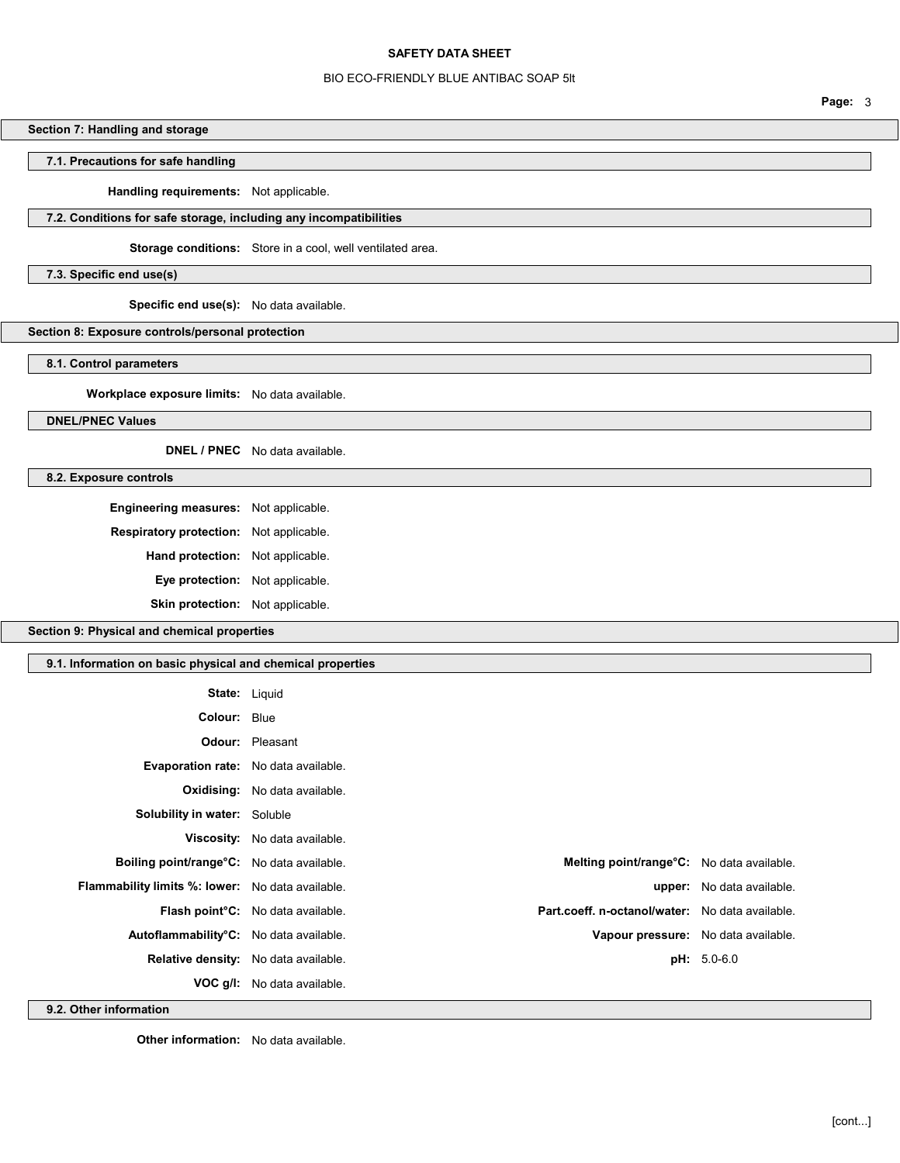## BIO ECO-FRIENDLY BLUE ANTIBAC SOAP 5lt

Section 7: Handling and storage

# 7.1. Precautions for safe handling

Handling requirements: Not applicable.

# 7.2. Conditions for safe storage, including any incompatibilities

Storage conditions: Store in a cool, well ventilated area.

7.3. Specific end use(s)

Specific end use(s): No data available.

Section 8: Exposure controls/personal protection

8.1. Control parameters

Workplace exposure limits: No data available.

DNEL/PNEC Values

DNEL / PNEC No data available.

8.2. Exposure controls

Engineering measures: Not applicable. Respiratory protection: Not applicable. Hand protection: Not applicable. Eye protection: Not applicable.

Skin protection: Not applicable.

Section 9: Physical and chemical properties

### 9.1. Information on basic physical and chemical properties

| <b>State: Liquid</b>                             |                                                |                                                 |                                  |
|--------------------------------------------------|------------------------------------------------|-------------------------------------------------|----------------------------------|
| <b>Colour: Blue</b>                              |                                                |                                                 |                                  |
|                                                  | <b>Odour:</b> Pleasant                         |                                                 |                                  |
| <b>Evaporation rate:</b> No data available.      |                                                |                                                 |                                  |
|                                                  | <b>Oxidising:</b> No data available.           |                                                 |                                  |
| Solubility in water: Soluble                     |                                                |                                                 |                                  |
|                                                  | Viscosity: No data available.                  |                                                 |                                  |
| Boiling point/range°C: No data available.        |                                                | Melting point/range°C: No data available.       |                                  |
| Flammability limits %: lower: No data available. |                                                |                                                 | <b>upper:</b> No data available. |
|                                                  | Flash point <sup>°</sup> C: No data available. | Part.coeff. n-octanol/water: No data available. |                                  |
| Autoflammability°C: No data available.           |                                                | Vapour pressure: No data available.             |                                  |
|                                                  | Relative density: No data available.           |                                                 | $pH: 5.0-6.0$                    |
|                                                  | VOC g/I: No data available.                    |                                                 |                                  |

9.2. Other information

**Other information:** No data available.

Page: 3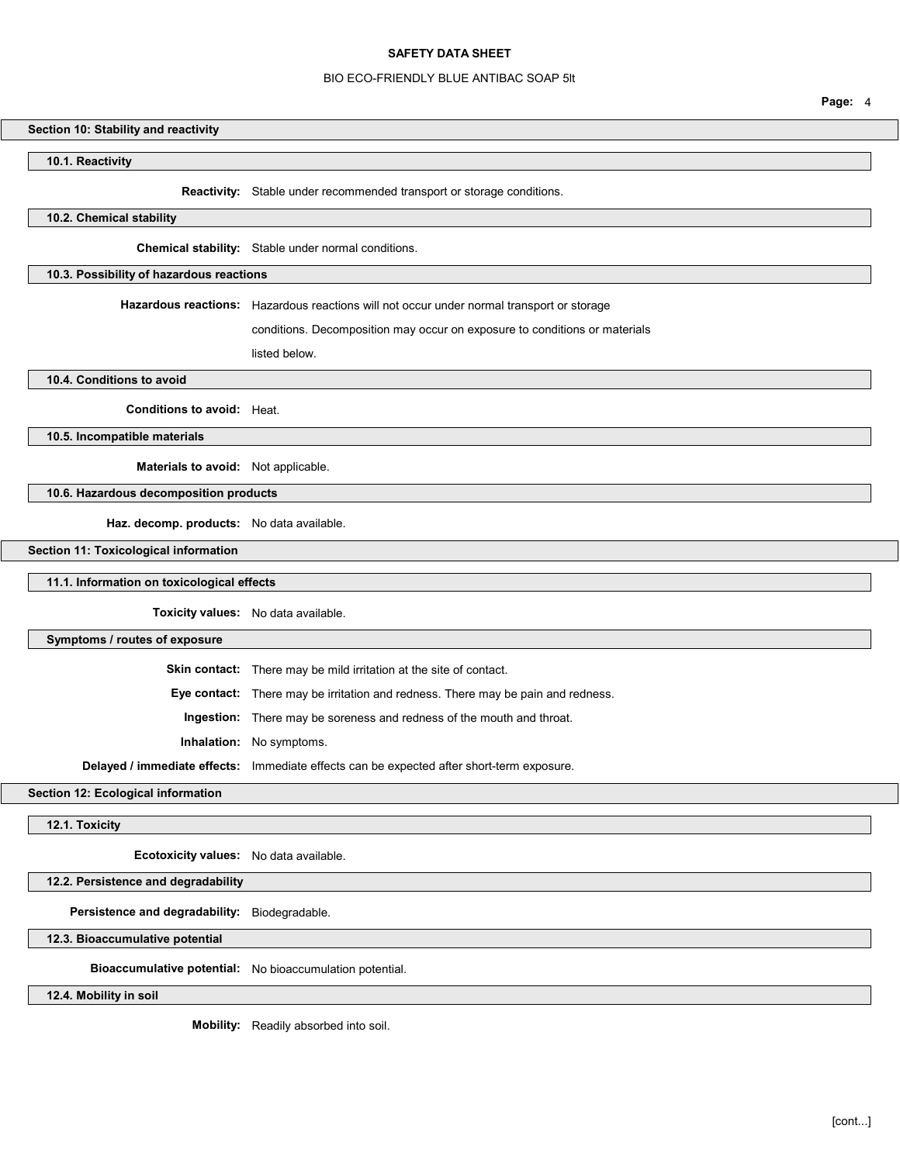## BIO ECO-FRIENDLY BLUE ANTIBAC SOAP 5lt

### Section 10: Stability and reactivity

10.1. Reactivity

Reactivity: Stable under recommended transport or storage conditions.

# 10.2. Chemical stability

Chemical stability: Stable under normal conditions.

## 10.3. Possibility of hazardous reactions

Hazardous reactions: Hazardous reactions will not occur under normal transport or storage

conditions. Decomposition may occur on exposure to conditions or materials

listed below.

10.4. Conditions to avoid

Conditions to avoid: Heat.

10.5. Incompatible materials

Materials to avoid: Not applicable.

# 10.6. Hazardous decomposition products

Haz. decomp. products: No data available.

Section 11: Toxicological information

11.1. Information on toxicological effects

Toxicity values: No data available.

#### Symptoms / routes of exposure

Skin contact: There may be mild irritation at the site of contact.

Eye contact: There may be irritation and redness. There may be pain and redness.

Ingestion: There may be soreness and redness of the mouth and throat.

Inhalation: No symptoms.

Delayed / immediate effects: Immediate effects can be expected after short-term exposure.

Section 12: Ecological information

12.1. Toxicity

Ecotoxicity values: No data available.

## 12.2. Persistence and degradability

Persistence and degradability: Biodegradable.

12.3. Bioaccumulative potential

Bioaccumulative potential: No bioaccumulation potential.

12.4. Mobility in soil

Mobility: Readily absorbed into soil.

Page: 4